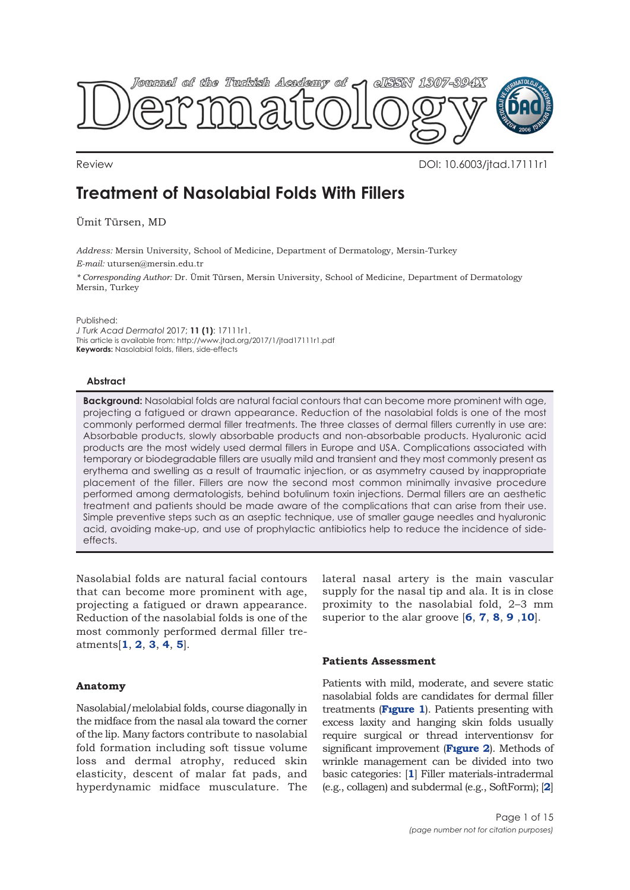

Review DOI: 10.6003/jtad.17111r1

# **Treatment of Nasolabial Folds With Fillers**

Ümit Türsen, MD

*Address:* Mersin University, School of Medicine, Department of Dermatology, Mersin-Turkey *E-mail:* utursen@mersin.edu.tr

*\* Corresponding Author:* Dr. Ümit Türsen, Mersin University, School of Medicine, Department of Dermatology Mersin, Turkey

Published:

*J Turk Acad Dermatol* 2017; **11 (1)**: 17111r1. This article is available from: http://www.jtad.org/2017/1/jtad17111r1.pdf **Keywords:** Nasolabial folds, fillers, side-effects

## **Abstract**

**Background:** Nasolabial folds are natural facial contours that can become more prominent with age, projecting a fatigued or drawn appearance. Reduction of the nasolabial folds is one of the most commonly performed dermal filler treatments. The three classes of dermal fillers currently in use are: Absorbable products, slowly absorbable products and non-absorbable products. Hyaluronic acid products are the most widely used dermal fillers in Europe and USA. Complications associated with temporary or biodegradable fillers are usually mild and transient and they most commonly present as erythema and swelling as a result of traumatic injection, or as asymmetry caused by inappropriate placement of the filler. Fillers are now the second most common minimally invasive procedure performed among dermatologists, behind botulinum toxin injections. Dermal fillers are an aesthetic treatment and patients should be made aware of the complications that can arise from their use. Simple preventive steps such as an aseptic technique, use of smaller gauge needles and hyaluronic acid, avoiding make-up, and use of prophylactic antibiotics help to reduce the incidence of sideeffects.

Nasolabial folds are natural facial contours that can become more prominent with age, projecting a fatigued or drawn appearance. Reduction of the nasolabial folds is one of the most commonly performed dermal filler treatments[**[1](#page-13-0)**, **[2](#page-13-0)**, **[3](#page-13-0)**, **[4](#page-13-0)**, **[5](#page-13-0)**].

# **Anatomy**

Nasolabial/melolabial folds, course diagonally in the midface from the nasal ala toward the corner of the lip. Many factors contribute to nasolabial fold formation including soft tissue volume loss and dermal atrophy, reduced skin elasticity, descent of malar fat pads, and hyperdynamic midface musculature. The lateral nasal artery is the main vascular supply for the nasal tip and ala. It is in close proximity to the nasolabial fold, 2–3 mm superior to the alar groove [**[6](#page-13-0)**, **[7](#page-13-0)**, **[8](#page-13-0)**, **[9](#page-13-0)** ,**[10](#page-13-0)**].

# **Patients Assessment**

Patients with mild, moderate, and severe static nasolabial folds are candidates for dermal filler treatments (**[Fıgure 1](#page-1-0)**). Patients presenting with excess laxity and hanging skin folds usually require surgical or thread interventionsv for significant improvement (**[Fıgure 2](#page-1-0)**). Methods of wrinkle management can be divided into two basic categories: [**[1](#page-13-0)**] Filler materials-intradermal (e.g., collagen) and subdermal (e.g., SoftForm); [**[2](#page-13-0)**]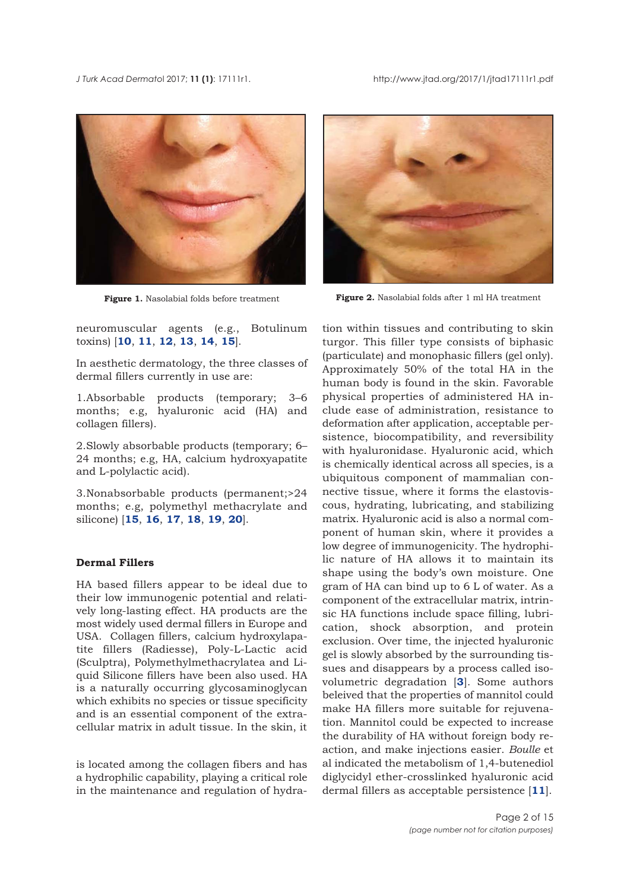<span id="page-1-0"></span>

neuromuscular agents (e.g., Botulinum toxins) [**[10](#page-13-0)**, **[11](#page-13-0)**, **[12](#page-13-0)**, **[13](#page-13-0)**, **[14](#page-13-0)**, **[15](#page-13-0)**].

In aesthetic dermatology, the three classes of dermal fillers currently in use are:

1.Absorbable products (temporary; 3–6 months; e.g, hyaluronic acid (HA) and collagen fillers).

2.Slowly absorbable products (temporary; 6– 24 months; e.g, HA, calcium hydroxyapatite and L-polylactic acid).

3.Nonabsorbable products (permanent;>24 months; e.g, polymethyl methacrylate and silicone) [**[15](#page-13-0)**, **[16](#page-13-0)**, **[17](#page-13-0)**, **[18](#page-14-0)**, **[19](#page-14-0)**, **[20](#page-14-0)**].

# **Dermal Fillers**

HA based fillers appear to be ideal due to their low immunogenic potential and relatively long-lasting effect. HA products are the most widely used dermal fillers in Europe and USA. Collagen fillers, calcium hydroxylapatite fillers (Radiesse), Poly-L-Lactic acid (Sculptra), Polymethylmethacrylatea and Liquid Silicone fillers have been also used. HA is a naturally occurring glycosaminoglycan which exhibits no species or tissue specificity and is an essential component of the extracellular matrix in adult tissue. In the skin, it

is located among the collagen fibers and has a hydrophilic capability, playing a critical role in the maintenance and regulation of hydra-



**Figure 1.** Nasolabial folds before treatment **Figure 2.** Nasolabial folds after 1 ml HA treatment

tion within tissues and contributing to skin turgor. This filler type consists of biphasic (particulate) and monophasic fillers (gel only). Approximately 50% of the total HA in the human body is found in the skin. Favorable physical properties of administered HA include ease of administration, resistance to deformation after application, acceptable persistence, biocompatibility, and reversibility with hyaluronidase. Hyaluronic acid, which is chemically identical across all species, is a ubiquitous component of mammalian connective tissue, where it forms the elastoviscous, hydrating, lubricating, and stabilizing matrix. Hyaluronic acid is also a normal component of human skin, where it provides a low degree of immunogenicity. The hydrophilic nature of HA allows it to maintain its shape using the body's own moisture. One gram of HA can bind up to 6 L of water. As a component of the extracellular matrix, intrinsic HA functions include space filling, lubrication, shock absorption, and protein exclusion. Over time, the injected hyaluronic gel is slowly absorbed by the surrounding tissues and disappears by a process called isovolumetric degradation [**[3](#page-13-0)**]. Some authors beleived that the properties of mannitol could make HA fillers more suitable for rejuvenation. Mannitol could be expected to increase the durability of HA without foreign body reaction, and make injections easier. *Boulle* et al indicated the metabolism of 1,4-butenediol diglycidyl ether-crosslinked hyaluronic acid dermal fillers as acceptable persistence [**[11](#page-13-0)**].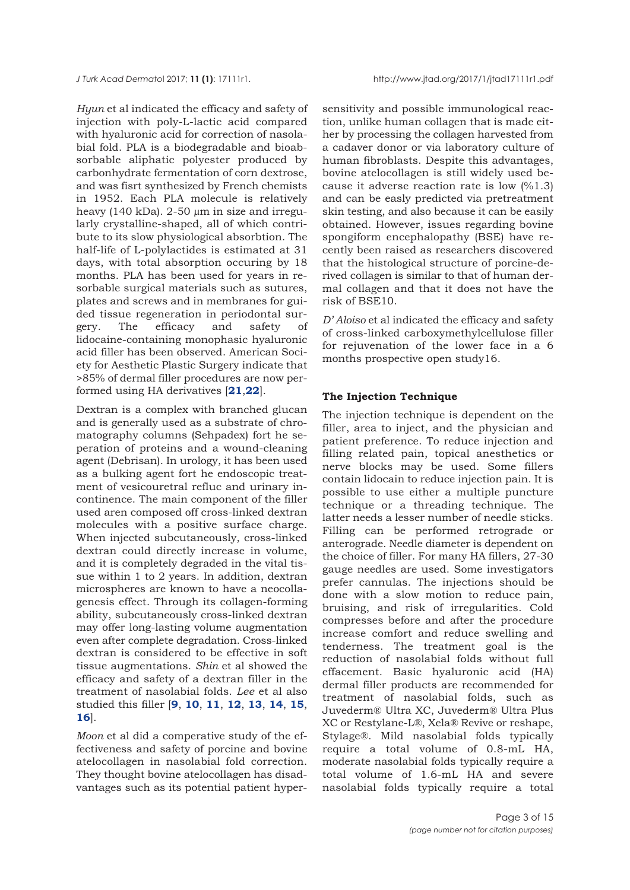*Hyun* et al indicated the efficacy and safety of injection with poly-L-lactic acid compared with hyaluronic acid for correction of nasolabial fold. PLA is a biodegradable and bioabsorbable aliphatic polyester produced by carbonhydrate fermentation of corn dextrose, and was fisrt synthesized by French chemists in 1952. Each PLA molecule is relatively heavy (140 kDa). 2-50 µm in size and irregularly crystalline-shaped, all of which contribute to its slow physiological absorbtion. The half-life of L-polylactides is estimated at 31 days, with total absorption occuring by 18 months. PLA has been used for years in resorbable surgical materials such as sutures, plates and screws and in membranes for guided tissue regeneration in periodontal surgery. The efficacy and safety of lidocaine-containing monophasic hyaluronic acid filler has been observed. American Society for Aesthetic Plastic Surgery indicate that >85% of dermal filler procedures are now performed using HA derivatives [**[21](#page-14-0)**,**[22](#page-14-0)**].

Dextran is a complex with branched glucan and is generally used as a substrate of chromatography columns (Sehpadex) fort he seperation of proteins and a wound-cleaning agent (Debrisan). In urology, it has been used as a bulking agent fort he endoscopic treatment of vesicouretral refluc and urinary incontinence. The main component of the filler used aren composed off cross-linked dextran molecules with a positive surface charge. When injected subcutaneously, cross-linked dextran could directly increase in volume, and it is completely degraded in the vital tissue within 1 to 2 years. In addition, dextran microspheres are known to have a neocollagenesis effect. Through its collagen-forming ability, subcutaneously cross-linked dextran may offer long-lasting volume augmentation even after complete degradation. Cross-linked dextran is considered to be effective in soft tissue augmentations. *Shin* et al showed the efficacy and safety of a dextran filler in the treatment of nasolabial folds. *Lee* et al also studied this filler [**[9](#page-13-0)**, **[10](#page-13-0)**, **[11](#page-13-0)**, **[12](#page-13-0)**, **[13](#page-13-0)**, **[14](#page-13-0)**, **[15](#page-13-0)**, **[16](#page-13-0)**].

*Moon* et al did a comperative study of the effectiveness and safety of porcine and bovine atelocollagen in nasolabial fold correction. They thought bovine atelocollagen has disadvantages such as its potential patient hyper-

sensitivity and possible immunological reaction, unlike human collagen that is made either by processing the collagen harvested from a cadaver donor or via laboratory culture of human fibroblasts. Despite this advantages, bovine atelocollagen is still widely used because it adverse reaction rate is low (%1.3) and can be easly predicted via pretreatment skin testing, and also because it can be easily obtained. However, issues regarding bovine spongiform encephalopathy (BSE) have recently been raised as researchers discovered that the histological structure of porcine-derived collagen is similar to that of human dermal collagen and that it does not have the risk of BSE10.

*D' Aloiso* et al indicated the efficacy and safety of cross-linked carboxymethylcellulose filler for rejuvenation of the lower face in a 6 months prospective open study16.

## **The Injection Technique**

The injection technique is dependent on the filler, area to inject, and the physician and patient preference. To reduce injection and filling related pain, topical anesthetics or nerve blocks may be used. Some fillers contain lidocain to reduce injection pain. It is possible to use either a multiple puncture technique or a threading technique. The latter needs a lesser number of needle sticks. Filling can be performed retrograde or anterograde. Needle diameter is dependent on the choice of filler. For many HA fillers, 27-30 gauge needles are used. Some investigators prefer cannulas. The injections should be done with a slow motion to reduce pain, bruising, and risk of irregularities. Cold compresses before and after the procedure increase comfort and reduce swelling and tenderness. The treatment goal is the reduction of nasolabial folds without full effacement. Basic hyaluronic acid (HA) dermal filler products are recommended for treatment of nasolabial folds, such as Juvederm® Ultra XC, Juvederm® Ultra Plus XC or Restylane-L®, Xela® Revive or reshape, Stylage®. Mild nasolabial folds typically require a total volume of 0.8-mL HA, moderate nasolabial folds typically require a total volume of 1.6-mL HA and severe nasolabial folds typically require a total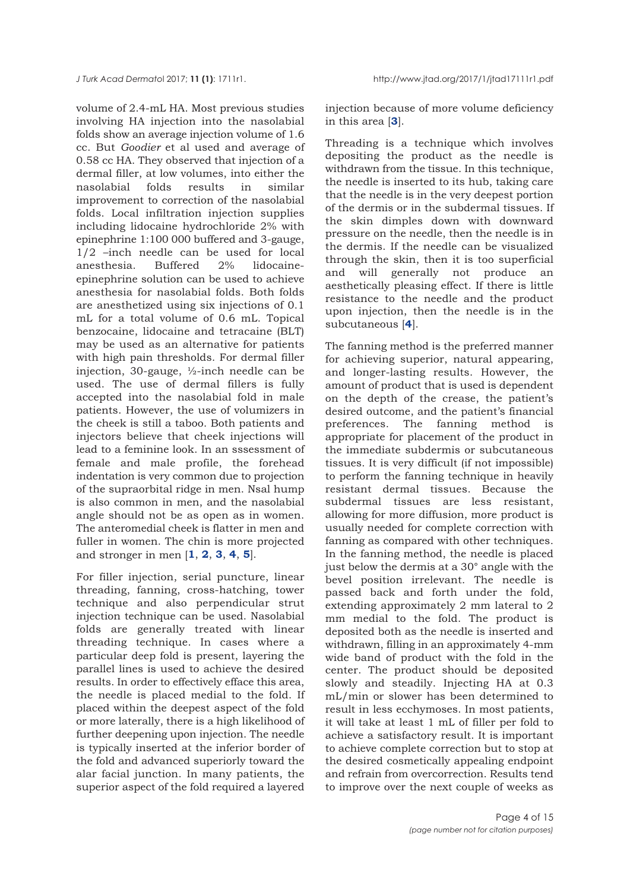volume of 2.4-mL HA. Most previous studies involving HA injection into the nasolabial folds show an average injection volume of 1.6 cc. But *Goodier* et al used and average of 0.58 cc HA. They observed that injection of a dermal filler, at low volumes, into either the nasolabial folds results in similar improvement to correction of the nasolabial folds. Local infiltration injection supplies including lidocaine hydrochloride 2% with epinephrine 1:100 000 buffered and 3-gauge, 1/2 –inch needle can be used for local anesthesia. Buffered 2% lidocaineepinephrine solution can be used to achieve anesthesia for nasolabial folds. Both folds are anesthetized using six injections of 0.1 mL for a total volume of 0.6 mL. Topical benzocaine, lidocaine and tetracaine (BLT) may be used as an alternative for patients with high pain thresholds. For dermal filler injection, 30-gauge, ½-inch needle can be used. The use of dermal fillers is fully accepted into the nasolabial fold in male patients. However, the use of volumizers in the cheek is still a taboo. Both patients and injectors believe that cheek injections will lead to a feminine look. In an sssessment of female and male profile, the forehead indentation is very common due to projection of the supraorbital ridge in men. Nsal hump is also common in men, and the nasolabial angle should not be as open as in women. The anteromedial cheek is flatter in men and fuller in women. The chin is more projected and stronger in men [**[1](#page-13-0)**, **[2](#page-13-0)**, **[3](#page-13-0)**, **[4](#page-13-0)**, **[5](#page-13-0)**].

For filler injection, serial puncture, linear threading, fanning, cross-hatching, tower technique and also perpendicular strut injection technique can be used. Nasolabial folds are generally treated with linear threading technique. In cases where a particular deep fold is present, layering the parallel lines is used to achieve the desired results. In order to effectively efface this area, the needle is placed medial to the fold. If placed within the deepest aspect of the fold or more laterally, there is a high likelihood of further deepening upon injection. The needle is typically inserted at the inferior border of the fold and advanced superiorly toward the alar facial junction. In many patients, the superior aspect of the fold required a layered

injection because of more volume deficiency in this area [**[3](#page-13-0)**].

Threading is a technique which involves depositing the product as the needle is withdrawn from the tissue. In this technique, the needle is inserted to its hub, taking care that the needle is in the very deepest portion of the dermis or in the subdermal tissues. If the skin dimples down with downward pressure on the needle, then the needle is in the dermis. If the needle can be visualized through the skin, then it is too superficial and will generally not produce an aesthetically pleasing effect. If there is little resistance to the needle and the product upon injection, then the needle is in the subcutaneous [**[4](#page-13-0)**].

The fanning method is the preferred manner for achieving superior, natural appearing, and longer-lasting results. However, the amount of product that is used is dependent on the depth of the crease, the patient's desired outcome, and the patient's financial preferences. The fanning method is appropriate for placement of the product in the immediate subdermis or subcutaneous tissues. It is very difficult (if not impossible) to perform the fanning technique in heavily resistant dermal tissues. Because the subdermal tissues are less resistant, allowing for more diffusion, more product is usually needed for complete correction with fanning as compared with other techniques. In the fanning method, the needle is placed just below the dermis at a 30° angle with the bevel position irrelevant. The needle is passed back and forth under the fold, extending approximately 2 mm lateral to 2 mm medial to the fold. The product is deposited both as the needle is inserted and withdrawn, filling in an approximately 4-mm wide band of product with the fold in the center. The product should be deposited slowly and steadily. Injecting HA at 0.3 mL/min or slower has been determined to result in less ecchymoses. In most patients, it will take at least 1 mL of filler per fold to achieve a satisfactory result. It is important to achieve complete correction but to stop at the desired cosmetically appealing endpoint and refrain from overcorrection. Results tend to improve over the next couple of weeks as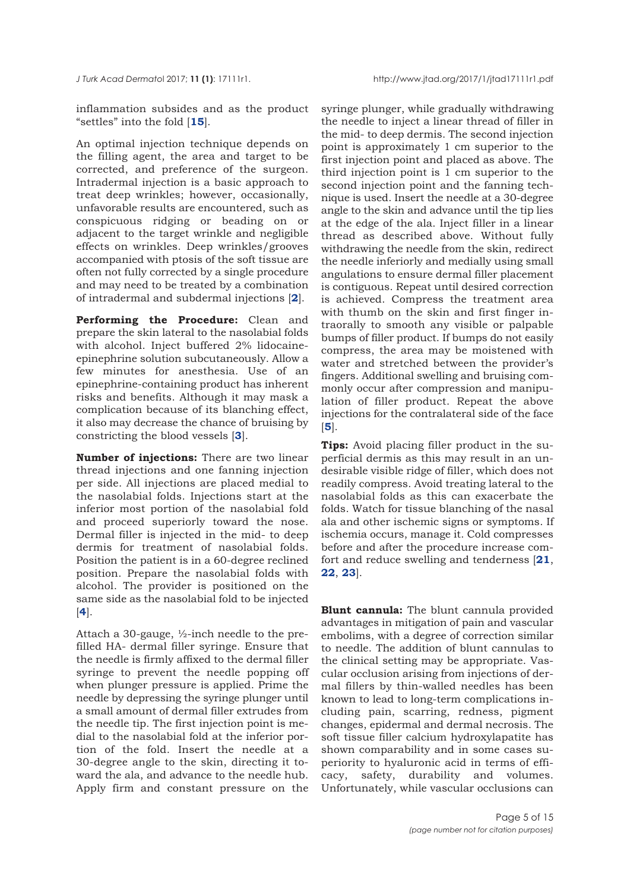inflammation subsides and as the product "settles" into the fold [**[15](#page-13-0)**].

An optimal injection technique depends on the filling agent, the area and target to be corrected, and preference of the surgeon. Intradermal injection is a basic approach to treat deep wrinkles; however, occasionally, unfavorable results are encountered, such as conspicuous ridging or beading on or adjacent to the target wrinkle and negligible effects on wrinkles. Deep wrinkles/grooves accompanied with ptosis of the soft tissue are often not fully corrected by a single procedure and may need to be treated by a combination of intradermal and subdermal injections [**[2](#page-13-0)**].

**Performing the Procedure:** Clean and prepare the skin lateral to the nasolabial folds with alcohol. Inject buffered 2% lidocaineepinephrine solution subcutaneously. Allow a few minutes for anesthesia. Use of an epinephrine-containing product has inherent risks and benefits. Although it may mask a complication because of its blanching effect, it also may decrease the chance of bruising by constricting the blood vessels [**[3](#page-13-0)**].

**Number of injections:** There are two linear thread injections and one fanning injection per side. All injections are placed medial to the nasolabial folds. Injections start at the inferior most portion of the nasolabial fold and proceed superiorly toward the nose. Dermal filler is injected in the mid- to deep dermis for treatment of nasolabial folds. Position the patient is in a 60-degree reclined position. Prepare the nasolabial folds with alcohol. The provider is positioned on the same side as the nasolabial fold to be injected [**[4](#page-13-0)**].

Attach a 30-gauge, ½-inch needle to the prefilled HA- dermal filler syringe. Ensure that the needle is firmly affixed to the dermal filler syringe to prevent the needle popping off when plunger pressure is applied. Prime the needle by depressing the syringe plunger until a small amount of dermal filler extrudes from the needle tip. The first injection point is medial to the nasolabial fold at the inferior portion of the fold. Insert the needle at a 30-degree angle to the skin, directing it toward the ala, and advance to the needle hub. Apply firm and constant pressure on the syringe plunger, while gradually withdrawing the needle to inject a linear thread of filler in the mid- to deep dermis. The second injection point is approximately 1 cm superior to the first injection point and placed as above. The third injection point is 1 cm superior to the second injection point and the fanning technique is used. Insert the needle at a 30-degree angle to the skin and advance until the tip lies at the edge of the ala. Inject filler in a linear thread as described above. Without fully withdrawing the needle from the skin, redirect the needle inferiorly and medially using small angulations to ensure dermal filler placement is contiguous. Repeat until desired correction is achieved. Compress the treatment area with thumb on the skin and first finger intraorally to smooth any visible or palpable bumps of filler product. If bumps do not easily compress, the area may be moistened with water and stretched between the provider's fingers. Additional swelling and bruising commonly occur after compression and manipulation of filler product. Repeat the above injections for the contralateral side of the face [**[5](#page-13-0)**].

**Tips:** Avoid placing filler product in the superficial dermis as this may result in an undesirable visible ridge of filler, which does not readily compress. Avoid treating lateral to the nasolabial folds as this can exacerbate the folds. Watch for tissue blanching of the nasal ala and other ischemic signs or symptoms. If ischemia occurs, manage it. Cold compresses before and after the procedure increase comfort and reduce swelling and tenderness [**[21](#page-14-0)**, **[22](#page-14-0)**, **[23](#page-14-0)**].

**Blunt cannula:** The blunt cannula provided advantages in mitigation of pain and vascular embolims, with a degree of correction similar to needle. The addition of blunt cannulas to the clinical setting may be appropriate. Vascular occlusion arising from injections of dermal fillers by thin-walled needles has been known to lead to long-term complications including pain, scarring, redness, pigment changes, epidermal and dermal necrosis. The soft tissue filler calcium hydroxylapatite has shown comparability and in some cases superiority to hyaluronic acid in terms of efficacy, safety, durability and volumes. Unfortunately, while vascular occlusions can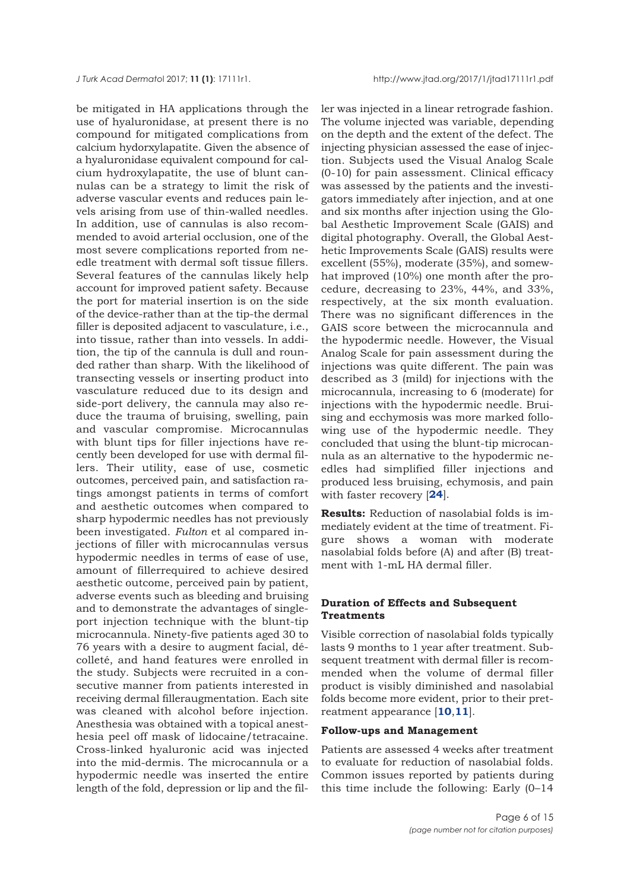be mitigated in HA applications through the use of hyaluronidase, at present there is no compound for mitigated complications from calcium hydorxylapatite. Given the absence of a hyaluronidase equivalent compound for calcium hydroxylapatite, the use of blunt cannulas can be a strategy to limit the risk of adverse vascular events and reduces pain levels arising from use of thin-walled needles. In addition, use of cannulas is also recommended to avoid arterial occlusion, one of the most severe complications reported from needle treatment with dermal soft tissue fillers. Several features of the cannulas likely help account for improved patient safety. Because the port for material insertion is on the side of the device-rather than at the tip-the dermal filler is deposited adjacent to vasculature, i.e., into tissue, rather than into vessels. In addition, the tip of the cannula is dull and rounded rather than sharp. With the likelihood of transecting vessels or inserting product into vasculature reduced due to its design and side-port delivery, the cannula may also reduce the trauma of bruising, swelling, pain and vascular compromise. Microcannulas with blunt tips for filler injections have recently been developed for use with dermal fillers. Their utility, ease of use, cosmetic outcomes, perceived pain, and satisfaction ratings amongst patients in terms of comfort and aesthetic outcomes when compared to sharp hypodermic needles has not previously been investigated. *Fulton* et al compared injections of filler with microcannulas versus hypodermic needles in terms of ease of use, amount of fillerrequired to achieve desired aesthetic outcome, perceived pain by patient, adverse events such as bleeding and bruising and to demonstrate the advantages of singleport injection technique with the blunt-tip microcannula. Ninety-five patients aged 30 to 76 years with a desire to augment facial, décolleté, and hand features were enrolled in the study. Subjects were recruited in a consecutive manner from patients interested in receiving dermal filleraugmentation. Each site was cleaned with alcohol before injection. Anesthesia was obtained with a topical anesthesia peel off mask of lidocaine/tetracaine. Cross-linked hyaluronic acid was injected into the mid-dermis. The microcannula or a hypodermic needle was inserted the entire length of the fold, depression or lip and the filler was injected in a linear retrograde fashion. The volume injected was variable, depending on the depth and the extent of the defect. The injecting physician assessed the ease of injection. Subjects used the Visual Analog Scale (0-10) for pain assessment. Clinical efficacy was assessed by the patients and the investigators immediately after injection, and at one and six months after injection using the Global Aesthetic Improvement Scale (GAIS) and digital photography. Overall, the Global Aesthetic Improvements Scale (GAIS) results were excellent (55%), moderate (35%), and somewhat improved (10%) one month after the procedure, decreasing to 23%, 44%, and 33%, respectively, at the six month evaluation. There was no significant differences in the GAIS score between the microcannula and the hypodermic needle. However, the Visual Analog Scale for pain assessment during the injections was quite different. The pain was described as 3 (mild) for injections with the microcannula, increasing to 6 (moderate) for injections with the hypodermic needle. Bruising and ecchymosis was more marked following use of the hypodermic needle. They concluded that using the blunt-tip microcannula as an alternative to the hypodermic needles had simplified filler injections and produced less bruising, echymosis, and pain with faster recovery [**[24](#page-14-0)**].

**Results:** Reduction of nasolabial folds is immediately evident at the time of treatment. Figure shows a woman with moderate nasolabial folds before (A) and after (B) treatment with 1-mL HA dermal filler.

## **Duration of Effects and Subsequent Treatments**

Visible correction of nasolabial folds typically lasts 9 months to 1 year after treatment. Subsequent treatment with dermal filler is recommended when the volume of dermal filler product is visibly diminished and nasolabial folds become more evident, prior to their pretreatment appearance [**[10](#page-13-0)**,**[11](#page-13-0)**].

#### **Follow-ups and Management**

Patients are assessed 4 weeks after treatment to evaluate for reduction of nasolabial folds. Common issues reported by patients during this time include the following: Early (0–14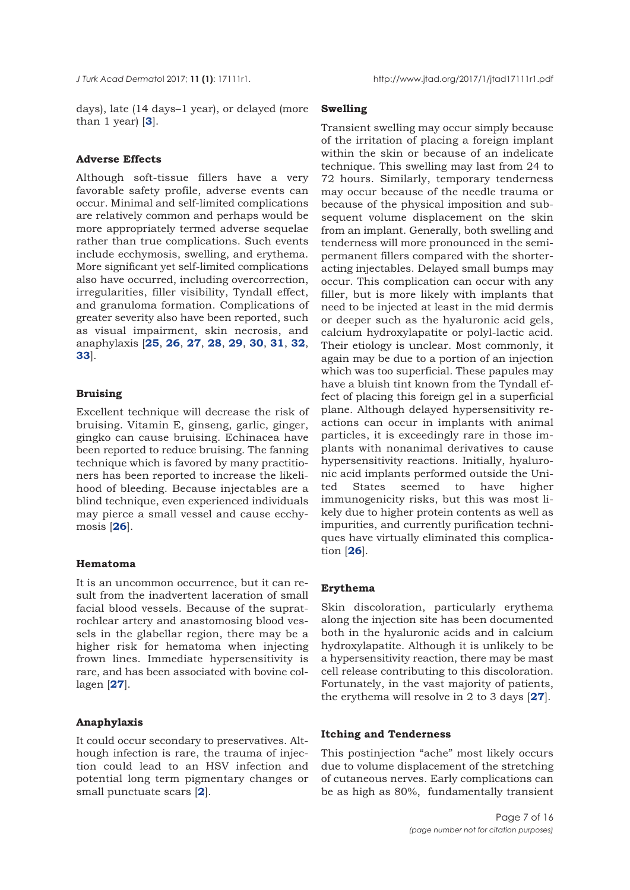days), late (14 days–1 year), or delayed (more than 1 year) [**[3](#page-13-0)**].

## **Adverse Effects**

Although soft-tissue fillers have a very favorable safety profile, adverse events can occur. Minimal and self-limited complications are relatively common and perhaps would be more appropriately termed adverse sequelae rather than true complications. Such events include ecchymosis, swelling, and erythema. More significant yet self-limited complications also have occurred, including overcorrection, irregularities, filler visibility, Tyndall effect, and granuloma formation. Complications of greater severity also have been reported, such as visual impairment, skin necrosis, and anaphylaxis [**[25](#page-14-0)**, **[26](#page-14-0)**, **[27](#page-14-0)**, **[28](#page-14-0)**, **[29](#page-14-0)**, **[30](#page-14-0)**, **[31](#page-14-0)**, **[32](#page-14-0)**, **[33](#page-14-0)**].

#### **Bruising**

Excellent technique will decrease the risk of bruising. Vitamin E, ginseng, garlic, ginger, gingko can cause bruising. Echinacea have been reported to reduce bruising. The fanning technique which is favored by many practitioners has been reported to increase the likelihood of bleeding. Because injectables are a blind technique, even experienced individuals may pierce a small vessel and cause ecchymosis [**[26](#page-14-0)**].

## **Hematoma**

It is an uncommon occurrence, but it can result from the inadvertent laceration of small facial blood vessels. Because of the supratrochlear artery and anastomosing blood vessels in the glabellar region, there may be a higher risk for hematoma when injecting frown lines. Immediate hypersensitivity is rare, and has been associated with bovine collagen [**[27](#page-14-0)**].

#### **Anaphylaxis**

It could occur secondary to preservatives. Although infection is rare, the trauma of injection could lead to an HSV infection and potential long term pigmentary changes or small punctuate scars [**[2](#page-13-0)**].

#### **Swelling**

Transient swelling may occur simply because of the irritation of placing a foreign implant within the skin or because of an indelicate technique. This swelling may last from 24 to 72 hours. Similarly, temporary tenderness may occur because of the needle trauma or because of the physical imposition and subsequent volume displacement on the skin from an implant. Generally, both swelling and tenderness will more pronounced in the semipermanent fillers compared with the shorteracting injectables. Delayed small bumps may occur. This complication can occur with any filler, but is more likely with implants that need to be injected at least in the mid dermis or deeper such as the hyaluronic acid gels, calcium hydroxylapatite or polyl-lactic acid. Their etiology is unclear. Most commonly, it again may be due to a portion of an injection which was too superficial. These papules may have a bluish tint known from the Tyndall effect of placing this foreign gel in a superficial plane. Although delayed hypersensitivity reactions can occur in implants with animal particles, it is exceedingly rare in those implants with nonanimal derivatives to cause hypersensitivity reactions. Initially, hyaluronic acid implants performed outside the United States seemed to have higher immunogenicity risks, but this was most likely due to higher protein contents as well as impurities, and currently purification techniques have virtually eliminated this complication [**[26](#page-14-0)**].

#### **Erythema**

Skin discoloration, particularly erythema along the injection site has been documented both in the hyaluronic acids and in calcium hydroxylapatite. Although it is unlikely to be a hypersensitivity reaction, there may be mast cell release contributing to this discoloration. Fortunately, in the vast majority of patients, the erythema will resolve in 2 to 3 days [**[27](#page-14-0)**].

#### **Itching and Tenderness**

This postinjection "ache" most likely occurs due to volume displacement of the stretching of cutaneous nerves. Early complications can be as high as 80%, fundamentally transient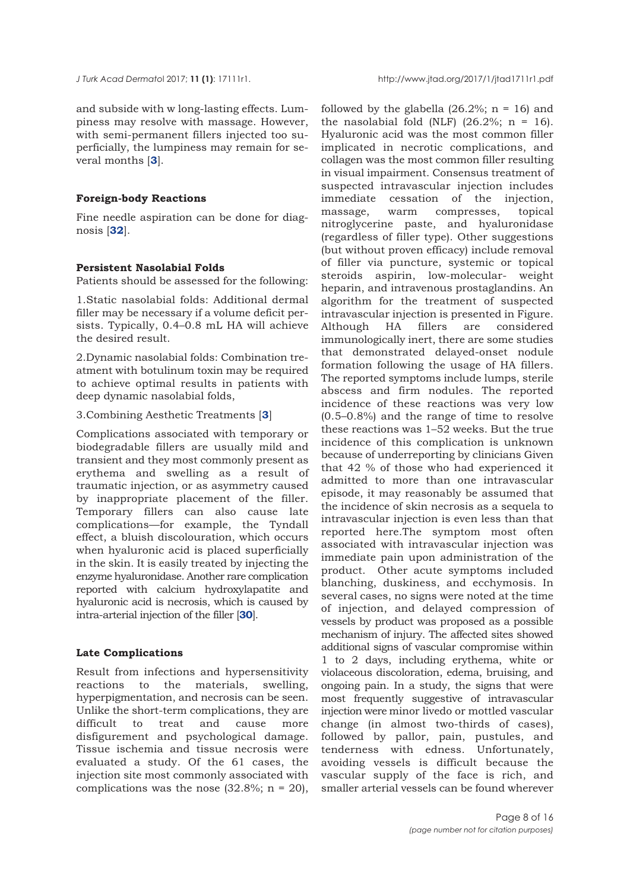*J Turk Acad Dermato*l 2017; **11 (1)**: 17111r1. http://www.jtad.org/2017/1/jtad1711r1.pdf

and subside with w long-lasting effects. Lumpiness may resolve with massage. However, with semi-permanent fillers injected too superficially, the lumpiness may remain for several months [**[3](#page-13-0)**].

## **Foreign-body Reactions**

Fine needle aspiration can be done for diagnosis [**[32](#page-14-0)**].

#### **Persistent Nasolabial Folds**

Patients should be assessed for the following:

1.Static nasolabial folds: Additional dermal filler may be necessary if a volume deficit persists. Typically, 0.4–0.8 mL HA will achieve the desired result.

2.Dynamic nasolabial folds: Combination treatment with botulinum toxin may be required to achieve optimal results in patients with deep dynamic nasolabial folds,

# 3.Combining Aesthetic Treatments [**[3](#page-13-0)**]

Complications associated with temporary or biodegradable fillers are usually mild and transient and they most commonly present as erythema and swelling as a result of traumatic injection, or as asymmetry caused by inappropriate placement of the filler. Temporary fillers can also cause late complications—for example, the Tyndall effect, a bluish discolouration, which occurs when hyaluronic acid is placed superficially in the skin. It is easily treated by injecting the enzyme hyaluronidase. Another rare complication reported with calcium hydroxylapatite and hyaluronic acid is necrosis, which is caused by intra-arterial injection of the filler [**[30](#page-14-0)**].

## **Late Complications**

Result from infections and hypersensitivity reactions to the materials, swelling, hyperpigmentation, and necrosis can be seen. Unlike the short-term complications, they are difficult to treat and cause more disfigurement and psychological damage. Tissue ischemia and tissue necrosis were evaluated a study. Of the 61 cases, the injection site most commonly associated with complications was the nose  $(32.8\%; n = 20)$ , followed by the glabella  $(26.2\%; n = 16)$  and the nasolabial fold (NLF)  $(26.2\%; n = 16)$ . Hyaluronic acid was the most common filler implicated in necrotic complications, and collagen was the most common filler resulting in visual impairment. Consensus treatment of suspected intravascular injection includes immediate cessation of the injection, massage, warm compresses, topical nitroglycerine paste, and hyaluronidase (regardless of filler type). Other suggestions (but without proven efficacy) include removal of filler via puncture, systemic or topical steroids aspirin, low-molecular- weight heparin, and intravenous prostaglandins. An algorithm for the treatment of suspected intravascular injection is presented in Figure. Although HA fillers are considered immunologically inert, there are some studies that demonstrated delayed-onset nodule formation following the usage of HA fillers. The reported symptoms include lumps, sterile abscess and firm nodules. The reported incidence of these reactions was very low (0.5–0.8%) and the range of time to resolve these reactions was 1–52 weeks. But the true incidence of this complication is unknown because of underreporting by clinicians Given that 42 % of those who had experienced it admitted to more than one intravascular episode, it may reasonably be assumed that the incidence of skin necrosis as a sequela to intravascular injection is even less than that reported here.The symptom most often associated with intravascular injection was immediate pain upon administration of the product. Other acute symptoms included blanching, duskiness, and ecchymosis. In several cases, no signs were noted at the time of injection, and delayed compression of vessels by product was proposed as a possible mechanism of injury. The affected sites showed additional signs of vascular compromise within 1 to 2 days, including erythema, white or violaceous discoloration, edema, bruising, and ongoing pain. In a study, the signs that were most frequently suggestive of intravascular injection were minor livedo or mottled vascular change (in almost two-thirds of cases), followed by pallor, pain, pustules, and tenderness with edness. Unfortunately, avoiding vessels is difficult because the vascular supply of the face is rich, and smaller arterial vessels can be found wherever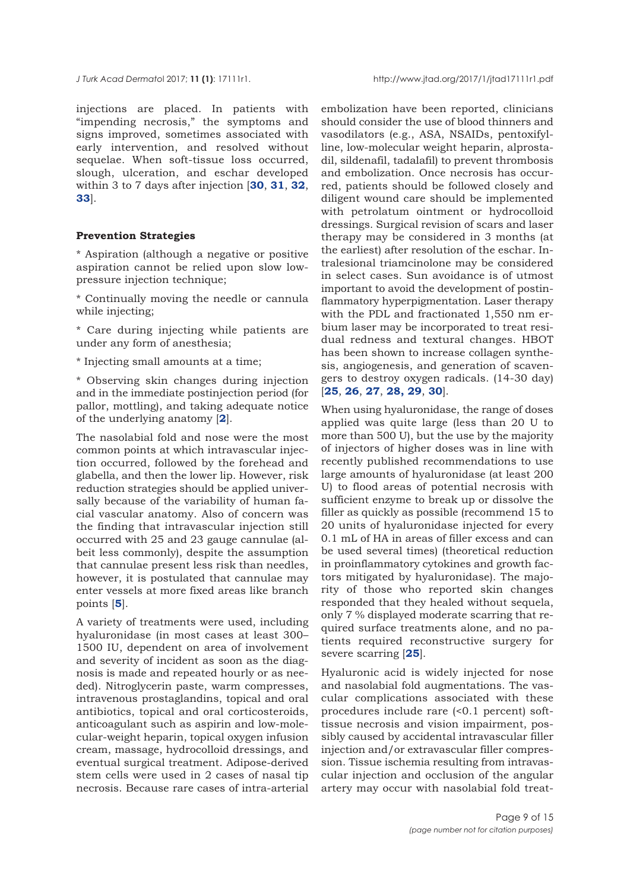injections are placed. In patients with "impending necrosis," the symptoms and signs improved, sometimes associated with early intervention, and resolved without sequelae. When soft-tissue loss occurred, slough, ulceration, and eschar developed within 3 to 7 days after injection [**[30](#page-14-0)**, **[31](#page-14-0)**, **[32](#page-14-0)**, **[33](#page-14-0)**].

# **Prevention Strategies**

\* Aspiration (although a negative or positive aspiration cannot be relied upon slow lowpressure injection technique;

\* Continually moving the needle or cannula while injecting;

- \* Care during injecting while patients are under any form of anesthesia;
- \* Injecting small amounts at a time;

\* Observing skin changes during injection and in the immediate postinjection period (for pallor, mottling), and taking adequate notice of the underlying anatomy [**[2](#page-13-0)**].

The nasolabial fold and nose were the most common points at which intravascular injection occurred, followed by the forehead and glabella, and then the lower lip. However, risk reduction strategies should be applied universally because of the variability of human facial vascular anatomy. Also of concern was the finding that intravascular injection still occurred with 25 and 23 gauge cannulae (albeit less commonly), despite the assumption that cannulae present less risk than needles, however, it is postulated that cannulae may enter vessels at more fixed areas like branch points [**[5](#page-13-0)**].

A variety of treatments were used, including hyaluronidase (in most cases at least 300– 1500 IU, dependent on area of involvement and severity of incident as soon as the diagnosis is made and repeated hourly or as needed). Nitroglycerin paste, warm compresses, intravenous prostaglandins, topical and oral antibiotics, topical and oral corticosteroids, anticoagulant such as aspirin and low-molecular-weight heparin, topical oxygen infusion cream, massage, hydrocolloid dressings, and eventual surgical treatment. Adipose-derived stem cells were used in 2 cases of nasal tip necrosis. Because rare cases of intra-arterial

embolization have been reported, clinicians should consider the use of blood thinners and vasodilators (e.g., ASA, NSAIDs, pentoxifylline, low-molecular weight heparin, alprostadil, sildenafil, tadalafil) to prevent thrombosis and embolization. Once necrosis has occurred, patients should be followed closely and diligent wound care should be implemented with petrolatum ointment or hydrocolloid dressings. Surgical revision of scars and laser therapy may be considered in 3 months (at the earliest) after resolution of the eschar. Intralesional triamcinolone may be considered in select cases. Sun avoidance is of utmost important to avoid the development of postinflammatory hyperpigmentation. Laser therapy with the PDL and fractionated 1,550 nm erbium laser may be incorporated to treat residual redness and textural changes. HBOT has been shown to increase collagen synthesis, angiogenesis, and generation of scavengers to destroy oxygen radicals. (14-30 day) [**[25](#page-14-0)**, **[26](#page-14-0)**, **[27](#page-14-0)**, **[28, 29](#page-14-0)**, **[30](#page-14-0)**].

When using hyaluronidase, the range of doses applied was quite large (less than 20 U to more than 500 U), but the use by the majority of injectors of higher doses was in line with recently published recommendations to use large amounts of hyaluronidase (at least 200 U) to flood areas of potential necrosis with sufficient enzyme to break up or dissolve the filler as quickly as possible (recommend 15 to 20 units of hyaluronidase injected for every 0.1 mL of HA in areas of filler excess and can be used several times) (theoretical reduction in proinflammatory cytokines and growth factors mitigated by hyaluronidase). The majority of those who reported skin changes responded that they healed without sequela, only 7 % displayed moderate scarring that required surface treatments alone, and no patients required reconstructive surgery for severe scarring [**[25](#page-14-0)**].

Hyaluronic acid is widely injected for nose and nasolabial fold augmentations. The vascular complications associated with these procedures include rare (<0.1 percent) softtissue necrosis and vision impairment, possibly caused by accidental intravascular filler injection and/or extravascular filler compression. Tissue ischemia resulting from intravascular injection and occlusion of the angular artery may occur with nasolabial fold treat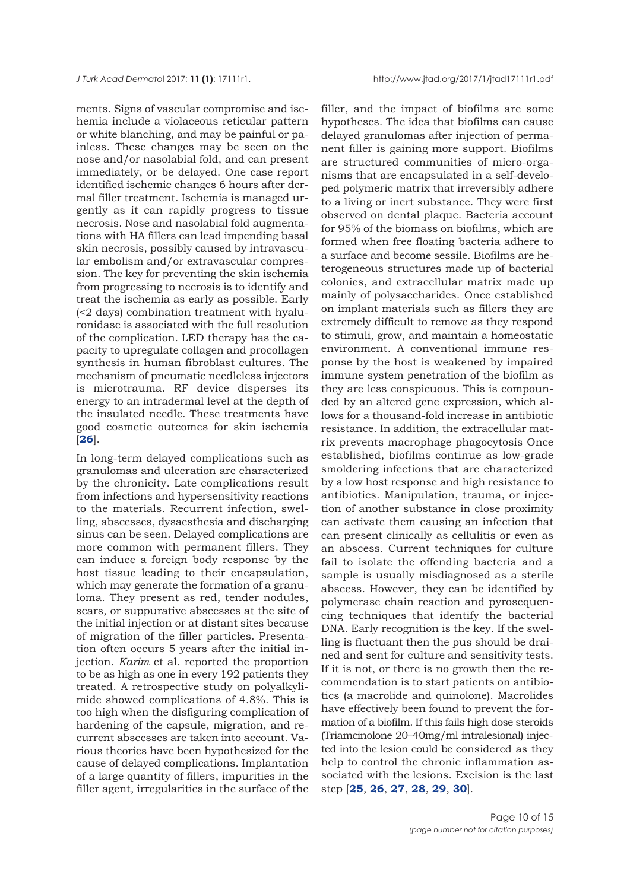ments. Signs of vascular compromise and ischemia include a violaceous reticular pattern or white blanching, and may be painful or painless. These changes may be seen on the nose and/or nasolabial fold, and can present immediately, or be delayed. One case report identified ischemic changes 6 hours after dermal filler treatment. Ischemia is managed urgently as it can rapidly progress to tissue necrosis. Nose and nasolabial fold augmentations with HA fillers can lead impending basal skin necrosis, possibly caused by intravascular embolism and/or extravascular compression. The key for preventing the skin ischemia from progressing to necrosis is to identify and treat the ischemia as early as possible. Early (<2 days) combination treatment with hyaluronidase is associated with the full resolution of the complication. LED therapy has the capacity to upregulate collagen and procollagen synthesis in human fibroblast cultures. The mechanism of pneumatic needleless injectors is microtrauma. RF device disperses its energy to an intradermal level at the depth of the insulated needle. These treatments have good cosmetic outcomes for skin ischemia [**[26](#page-14-0)**].

In long-term delayed complications such as granulomas and ulceration are characterized by the chronicity. Late complications result from infections and hypersensitivity reactions to the materials. Recurrent infection, swelling, abscesses, dysaesthesia and discharging sinus can be seen. Delayed complications are more common with permanent fillers. They can induce a foreign body response by the host tissue leading to their encapsulation, which may generate the formation of a granuloma. They present as red, tender nodules, scars, or suppurative abscesses at the site of the initial injection or at distant sites because of migration of the filler particles. Presentation often occurs 5 years after the initial injection. *Karim* et al. reported the proportion to be as high as one in every 192 patients they treated. A retrospective study on polyalkylimide showed complications of 4.8%. This is too high when the disfiguring complication of hardening of the capsule, migration, and recurrent abscesses are taken into account. Various theories have been hypothesized for the cause of delayed complications. Implantation of a large quantity of fillers, impurities in the filler agent, irregularities in the surface of the

filler, and the impact of biofilms are some hypotheses. The idea that biofilms can cause delayed granulomas after injection of permanent filler is gaining more support. Biofilms are structured communities of micro-organisms that are encapsulated in a self-developed polymeric matrix that irreversibly adhere to a living or inert substance. They were first observed on dental plaque. Bacteria account for 95% of the biomass on biofilms, which are formed when free floating bacteria adhere to a surface and become sessile. Biofilms are heterogeneous structures made up of bacterial colonies, and extracellular matrix made up mainly of polysaccharides. Once established on implant materials such as fillers they are extremely difficult to remove as they respond to stimuli, grow, and maintain a homeostatic environment. A conventional immune response by the host is weakened by impaired immune system penetration of the biofilm as they are less conspicuous. This is compounded by an altered gene expression, which allows for a thousand-fold increase in antibiotic resistance. In addition, the extracellular matrix prevents macrophage phagocytosis Once established, biofilms continue as low-grade smoldering infections that are characterized by a low host response and high resistance to antibiotics. Manipulation, trauma, or injection of another substance in close proximity can activate them causing an infection that can present clinically as cellulitis or even as an abscess. Current techniques for culture fail to isolate the offending bacteria and a sample is usually misdiagnosed as a sterile abscess. However, they can be identified by polymerase chain reaction and pyrosequencing techniques that identify the bacterial DNA. Early recognition is the key. If the swelling is fluctuant then the pus should be drained and sent for culture and sensitivity tests. If it is not, or there is no growth then the recommendation is to start patients on antibiotics (a macrolide and quinolone). Macrolides have effectively been found to prevent the formation of a biofilm. If this fails high dose steroids (Triamcinolone 20–40mg/ml intralesional) injected into the lesion could be considered as they help to control the chronic inflammation associated with the lesions. Excision is the last step [**[25](#page-14-0)**, **[26](#page-14-0)**, **[27](#page-14-0)**, **[28](#page-14-0)**, **[29](#page-14-0)**, **[30](#page-14-0)**].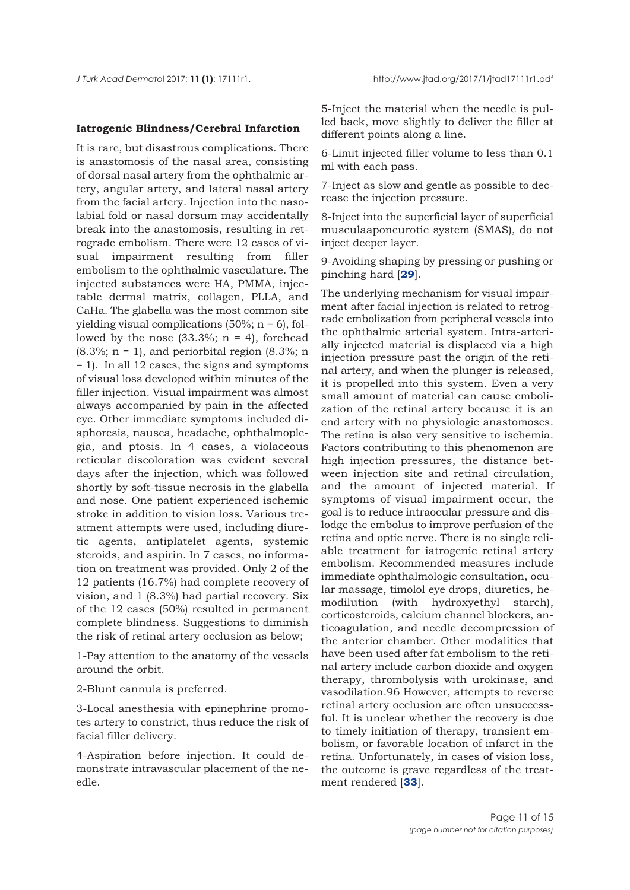#### **Iatrogenic Blindness/Cerebral Infarction**

It is rare, but disastrous complications. There is anastomosis of the nasal area, consisting of dorsal nasal artery from the ophthalmic artery, angular artery, and lateral nasal artery from the facial artery. Injection into the nasolabial fold or nasal dorsum may accidentally break into the anastomosis, resulting in retrograde embolism. There were 12 cases of visual impairment resulting from filler embolism to the ophthalmic vasculature. The injected substances were HA, PMMA, injectable dermal matrix, collagen, PLLA, and CaHa. The glabella was the most common site yielding visual complications  $(50\%; n = 6)$ , followed by the nose  $(33.3\%; n = 4)$ , forehead  $(8.3\%; n = 1)$ , and periorbital region  $(8.3\%; n$ = 1). In all 12 cases, the signs and symptoms of visual loss developed within minutes of the filler injection. Visual impairment was almost always accompanied by pain in the affected eye. Other immediate symptoms included diaphoresis, nausea, headache, ophthalmoplegia, and ptosis. In 4 cases, a violaceous reticular discoloration was evident several days after the injection, which was followed shortly by soft-tissue necrosis in the glabella and nose. One patient experienced ischemic stroke in addition to vision loss. Various treatment attempts were used, including diuretic agents, antiplatelet agents, systemic steroids, and aspirin. In 7 cases, no information on treatment was provided. Only 2 of the 12 patients (16.7%) had complete recovery of vision, and 1 (8.3%) had partial recovery. Six of the 12 cases (50%) resulted in permanent complete blindness. Suggestions to diminish the risk of retinal artery occlusion as below;

1-Pay attention to the anatomy of the vessels around the orbit.

2-Blunt cannula is preferred.

3-Local anesthesia with epinephrine promotes artery to constrict, thus reduce the risk of facial filler delivery.

4-Aspiration before injection. It could demonstrate intravascular placement of the needle.

5-Inject the material when the needle is pulled back, move slightly to deliver the filler at different points along a line.

6-Limit injected filler volume to less than 0.1 ml with each pass.

7-Inject as slow and gentle as possible to decrease the injection pressure.

8-Inject into the superficial layer of superficial musculaaponeurotic system (SMAS), do not inject deeper layer.

9-Avoiding shaping by pressing or pushing or pinching hard [**[29](#page-14-0)**].

The underlying mechanism for visual impairment after facial injection is related to retrograde embolization from peripheral vessels into the ophthalmic arterial system. Intra-arterially injected material is displaced via a high injection pressure past the origin of the retinal artery, and when the plunger is released, it is propelled into this system. Even a very small amount of material can cause embolization of the retinal artery because it is an end artery with no physiologic anastomoses. The retina is also very sensitive to ischemia. Factors contributing to this phenomenon are high injection pressures, the distance between injection site and retinal circulation, and the amount of injected material. If symptoms of visual impairment occur, the goal is to reduce intraocular pressure and dislodge the embolus to improve perfusion of the retina and optic nerve. There is no single reliable treatment for iatrogenic retinal artery embolism. Recommended measures include immediate ophthalmologic consultation, ocular massage, timolol eye drops, diuretics, hemodilution (with hydroxyethyl starch), corticosteroids, calcium channel blockers, anticoagulation, and needle decompression of the anterior chamber. Other modalities that have been used after fat embolism to the retinal artery include carbon dioxide and oxygen therapy, thrombolysis with urokinase, and vasodilation.96 However, attempts to reverse retinal artery occlusion are often unsuccessful. It is unclear whether the recovery is due to timely initiation of therapy, transient embolism, or favorable location of infarct in the retina. Unfortunately, in cases of vision loss, the outcome is grave regardless of the treatment rendered [**[33](#page-14-0)**].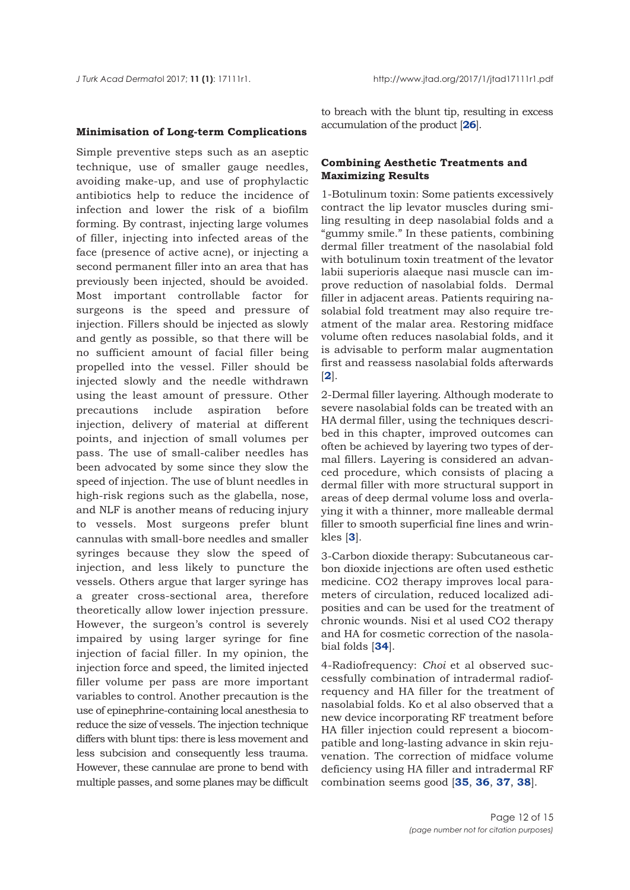#### **Minimisation of Long-term Complications**

Simple preventive steps such as an aseptic technique, use of smaller gauge needles, avoiding make-up, and use of prophylactic antibiotics help to reduce the incidence of infection and lower the risk of a biofilm forming. By contrast, injecting large volumes of filler, injecting into infected areas of the face (presence of active acne), or injecting a second permanent filler into an area that has previously been injected, should be avoided. Most important controllable factor for surgeons is the speed and pressure of injection. Fillers should be injected as slowly and gently as possible, so that there will be no sufficient amount of facial filler being propelled into the vessel. Filler should be injected slowly and the needle withdrawn using the least amount of pressure. Other precautions include aspiration before injection, delivery of material at different points, and injection of small volumes per pass. The use of small-caliber needles has been advocated by some since they slow the speed of injection. The use of blunt needles in high-risk regions such as the glabella, nose, and NLF is another means of reducing injury to vessels. Most surgeons prefer blunt cannulas with small-bore needles and smaller syringes because they slow the speed of injection, and less likely to puncture the vessels. Others argue that larger syringe has a greater cross-sectional area, therefore theoretically allow lower injection pressure. However, the surgeon's control is severely impaired by using larger syringe for fine injection of facial filler. In my opinion, the injection force and speed, the limited injected filler volume per pass are more important variables to control. Another precaution is the use of epinephrine-containing local anesthesia to reduce the size of vessels. The injection technique differs with blunt tips: there is less movement and less subcision and consequently less trauma. However, these cannulae are prone to bend with multiple passes, and some planes may be difficult

to breach with the blunt tip, resulting in excess accumulation of the product [**[26](#page-14-0)**].

## **Combining Aesthetic Treatments and Maximizing Results**

1-Botulinum toxin: Some patients excessively contract the lip levator muscles during smiling resulting in deep nasolabial folds and a "gummy smile." In these patients, combining dermal filler treatment of the nasolabial fold with botulinum toxin treatment of the levator labii superioris alaeque nasi muscle can improve reduction of nasolabial folds. Dermal filler in adjacent areas. Patients requiring nasolabial fold treatment may also require treatment of the malar area. Restoring midface volume often reduces nasolabial folds, and it is advisable to perform malar augmentation first and reassess nasolabial folds afterwards [**[2](#page-13-0)**].

2-Dermal filler layering. Although moderate to severe nasolabial folds can be treated with an HA dermal filler, using the techniques described in this chapter, improved outcomes can often be achieved by layering two types of dermal fillers. Layering is considered an advanced procedure, which consists of placing a dermal filler with more structural support in areas of deep dermal volume loss and overlaying it with a thinner, more malleable dermal filler to smooth superficial fine lines and wrinkles [**[3](#page-13-0)**].

3-Carbon dioxide therapy: Subcutaneous carbon dioxide injections are often used esthetic medicine. CO2 therapy improves local parameters of circulation, reduced localized adiposities and can be used for the treatment of chronic wounds. Nisi et al used CO2 therapy and HA for cosmetic correction of the nasolabial folds [**[34](#page-14-0)**].

4-Radiofrequency: *Choi* et al observed successfully combination of intradermal radiofrequency and HA filler for the treatment of nasolabial folds. Ko et al also observed that a new device incorporating RF treatment before HA filler injection could represent a biocompatible and long-lasting advance in skin rejuvenation. The correction of midface volume deficiency using HA filler and intradermal RF combination seems good [**[35](#page-14-0)**, **[36](#page-14-0)**, **[37](#page-14-0)**, **[38](#page-14-0)**].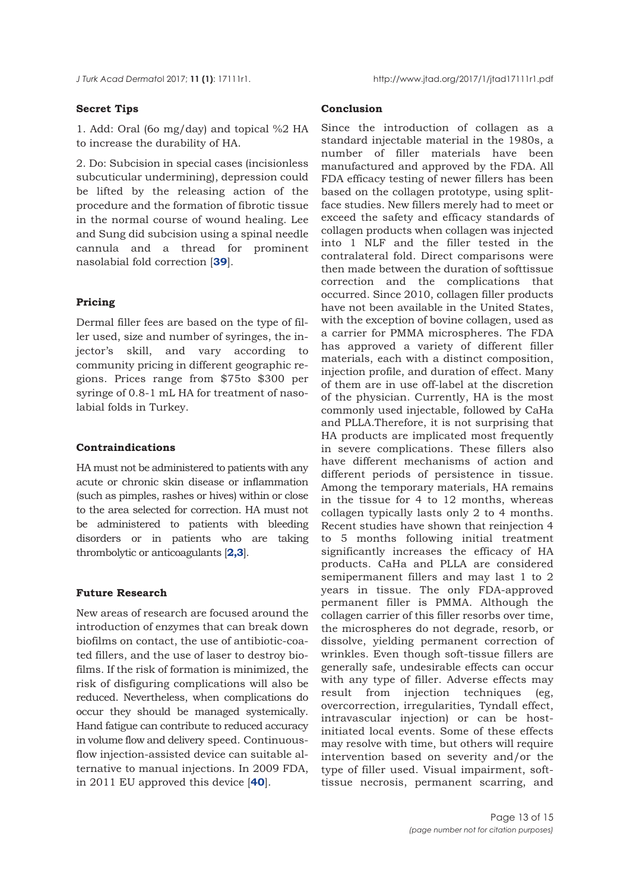# **Secret Tips**

1. Add: Oral (6o mg/day) and topical %2 HA to increase the durability of HA.

2. Do: Subcision in special cases (incisionless subcuticular undermining), depression could be lifted by the releasing action of the procedure and the formation of fibrotic tissue in the normal course of wound healing. Lee and Sung did subcision using a spinal needle cannula and a thread for prominent nasolabial fold correction [**[39](#page-14-0)**].

## **Pricing**

Dermal filler fees are based on the type of filler used, size and number of syringes, the injector's skill, and vary according to community pricing in different geographic regions. Prices range from \$75to \$300 per syringe of 0.8-1 mL HA for treatment of nasolabial folds in Turkey.

#### **Contraindications**

HA must not be administered to patients with any acute or chronic skin disease or inflammation (such as pimples, rashes or hives) within or close to the area selected for correction. HA must not be administered to patients with bleeding disorders or in patients who are taking thrombolytic or anticoagulants [**[2,3](#page-13-0)**].

#### **Future Research**

New areas of research are focused around the introduction of enzymes that can break down biofilms on contact, the use of antibiotic-coated fillers, and the use of laser to destroy biofilms. If the risk of formation is minimized, the risk of disfiguring complications will also be reduced. Nevertheless, when complications do occur they should be managed systemically. Hand fatigue can contribute to reduced accuracy in volume flow and delivery speed. Continuousflow injection-assisted device can suitable alternative to manual injections. In 2009 FDA, in 2011 EU approved this device [**[40](#page-14-0)**].

## **Conclusion**

Since the introduction of collagen as a standard injectable material in the 1980s, a number of filler materials have been manufactured and approved by the FDA. All FDA efficacy testing of newer fillers has been based on the collagen prototype, using splitface studies. New fillers merely had to meet or exceed the safety and efficacy standards of collagen products when collagen was injected into 1 NLF and the filler tested in the contralateral fold. Direct comparisons were then made between the duration of softtissue correction and the complications that occurred. Since 2010, collagen filler products have not been available in the United States, with the exception of bovine collagen, used as a carrier for PMMA microspheres. The FDA has approved a variety of different filler materials, each with a distinct composition, injection profile, and duration of effect. Many of them are in use off-label at the discretion of the physician. Currently, HA is the most commonly used injectable, followed by CaHa and PLLA.Therefore, it is not surprising that HA products are implicated most frequently in severe complications. These fillers also have different mechanisms of action and different periods of persistence in tissue. Among the temporary materials, HA remains in the tissue for 4 to 12 months, whereas collagen typically lasts only 2 to 4 months. Recent studies have shown that reinjection 4 to 5 months following initial treatment significantly increases the efficacy of HA products. CaHa and PLLA are considered semipermanent fillers and may last 1 to 2 years in tissue. The only FDA-approved permanent filler is PMMA. Although the collagen carrier of this filler resorbs over time, the microspheres do not degrade, resorb, or dissolve, yielding permanent correction of wrinkles. Even though soft-tissue fillers are generally safe, undesirable effects can occur with any type of filler. Adverse effects may result from injection techniques (eg, overcorrection, irregularities, Tyndall effect, intravascular injection) or can be hostinitiated local events. Some of these effects may resolve with time, but others will require intervention based on severity and/or the type of filler used. Visual impairment, softtissue necrosis, permanent scarring, and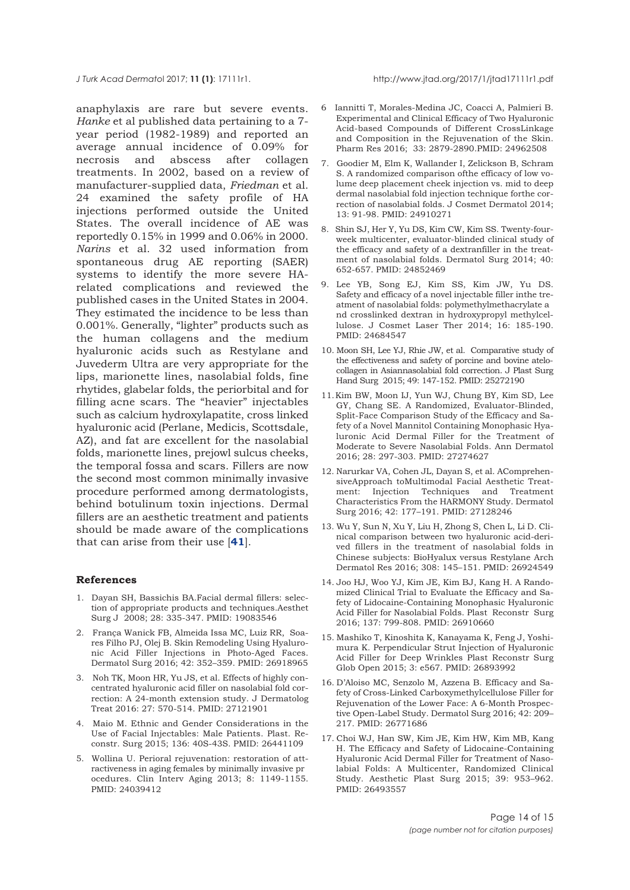<span id="page-13-0"></span>anaphylaxis are rare but severe events. *Hanke* et al published data pertaining to a 7 year period (1982-1989) and reported an average annual incidence of 0.09% for necrosis and abscess after collagen treatments. In 2002, based on a review of manufacturer-supplied data, *Friedman* et al. 24 examined the safety profile of HA injections performed outside the United States. The overall incidence of AE was reportedly 0.15% in 1999 and 0.06% in 2000. *Narins* et al. 32 used information from spontaneous drug AE reporting (SAER) systems to identify the more severe HArelated complications and reviewed the published cases in the United States in 2004. They estimated the incidence to be less than 0.001%. Generally, "lighter" products such as the human collagens and the medium hyaluronic acids such as Restylane and Juvederm Ultra are very appropriate for the lips, marionette lines, nasolabial folds, fine rhytides, glabelar folds, the periorbital and for filling acne scars. The "heavier" injectables such as calcium hydroxylapatite, cross linked hyaluronic acid (Perlane, Medicis, Scottsdale, AZ), and fat are excellent for the nasolabial folds, marionette lines, prejowl sulcus cheeks, the temporal fossa and scars. Fillers are now the second most common minimally invasive procedure performed among dermatologists, behind botulinum toxin injections. Dermal fillers are an aesthetic treatment and patients should be made aware of the complications that can arise from their use [**[41](#page-14-0)**].

#### **References**

- 1. Dayan SH, Bassichis BA.Facial dermal fillers: selection of appropriate products and techniques.Aesthet Surg J 2008; 28: 335-347. PMID: 19083546
- 2. França Wanick FB, Almeida Issa MC, Luiz RR, Soares Filho PJ, Olej B. Skin Remodeling Using Hyaluronic Acid Filler Injections in Photo-Aged Faces. Dermatol Surg 2016; 42: 352–359. PMID: 26918965
- 3. Noh TK, Moon HR, Yu JS, et al. Effects of highly concentrated hyaluronic acid filler on nasolabial fold correction: A 24-month extension study. J Dermatolog Treat 2016: 27: 570-514. PMID: 27121901
- 4. Maio M. Ethnic and Gender Considerations in the Use of Facial Injectables: Male Patients. Plast. Reconstr. Surg 2015; 136: 40S-43S. PMID: 26441109
- 5. Wollina U. Perioral rejuvenation: restoration of attractiveness in aging females by minimally invasive pr ocedures. Clin Interv Aging 2013; 8: 1149-1155. PMID: 24039412
- 6 Iannitti T, Morales-Medina JC, Coacci A, Palmieri B. Experimental and Clinical Efficacy of Two Hyaluronic Acid-based Compounds of Different CrossLinkage and Composition in the Rejuvenation of the Skin. Pharm Res 2016; 33: 2879-2890.PMID: 24962508
- 7. Goodier M, Elm K, Wallander I, Zelickson B, Schram S. A randomized comparison ofthe efficacy of low volume deep placement cheek injection vs. mid to deep dermal nasolabial fold injection technique forthe correction of nasolabial folds. J Cosmet Dermatol 2014; 13: 91-98. PMID: 24910271
- 8. Shin SJ, Her Y, Yu DS, Kim CW, Kim SS. Twenty-fourweek multicenter, evaluator-blinded clinical study of the efficacy and safety of a dextranfiller in the treatment of nasolabial folds. Dermatol Surg 2014; 40: 652-657. PMID: 24852469
- 9. Lee YB, Song EJ, Kim SS, Kim JW, Yu DS. Safety and efficacy of a novel injectable filler inthe treatment of nasolabial folds: polymethylmethacrylate a nd crosslinked dextran in hydroxypropyl methylcellulose. J Cosmet Laser Ther 2014; 16: 185-190. PMID: 24684547
- 10. Moon SH, Lee YJ, Rhie JW, et al. Comparative study of the effectiveness and safety of porcine and bovine atelocollagen in Asiannasolabial fold correction. J Plast Surg Hand Surg 2015; 49: 147-152. PMID: 25272190
- 11. Kim BW, Moon IJ, Yun WJ, Chung BY, Kim SD, Lee GY, Chang SE. A Randomized, Evaluator-Blinded, Split-Face Comparison Study of the Efficacy and Safety of a Novel Mannitol Containing Monophasic Hyaluronic Acid Dermal Filler for the Treatment of Moderate to Severe Nasolabial Folds. Ann Dermatol 2016; 28: 297-303. PMID: 27274627
- 12. Narurkar VA, Cohen JL, Dayan S, et al. AComprehensiveApproach toMultimodal Facial Aesthetic Treatment: Injection Techniques and Treatment Characteristics From the HARMONY Study. Dermatol Surg 2016; 42: 177–191. PMID: 27128246
- 13. Wu Y, Sun N, Xu Y, Liu H, Zhong S, Chen L, Li D. Clinical comparison between two hyaluronic acid-derived fillers in the treatment of nasolabial folds in Chinese subjects: BioHyalux versus Restylane Arch Dermatol Res 2016; 308: 145–151. PMID: 26924549
- 14. Joo HJ, Woo YJ, Kim JE, Kim BJ, Kang H. A Randomized Clinical Trial to Evaluate the Efficacy and Safety of Lidocaine-Containing Monophasic Hyaluronic Acid Filler for Nasolabial Folds. Plast Reconstr Surg 2016; 137: 799-808. PMID: 26910660
- 15. Mashiko T, Kinoshita K, Kanayama K, Feng J, Yoshimura K. Perpendicular Strut Injection of Hyaluronic Acid Filler for Deep Wrinkles Plast Reconstr Surg Glob Open 2015; 3: e567. PMID: 26893992
- 16. D'Aloiso MC, Senzolo M, Azzena B. Efficacy and Safety of Cross-Linked Carboxymethylcellulose Filler for Rejuvenation of the Lower Face: A 6-Month Prospective Open-Label Study. Dermatol Surg 2016; 42: 209– 217. PMID: 26771686
- 17. Choi WJ, Han SW, Kim JE, Kim HW, Kim MB, Kang H. The Efficacy and Safety of Lidocaine-Containing Hyaluronic Acid Dermal Filler for Treatment of Nasolabial Folds: A Multicenter, Randomized Clinical Study. Aesthetic Plast Surg 2015; 39: 953–962. PMID: 26493557